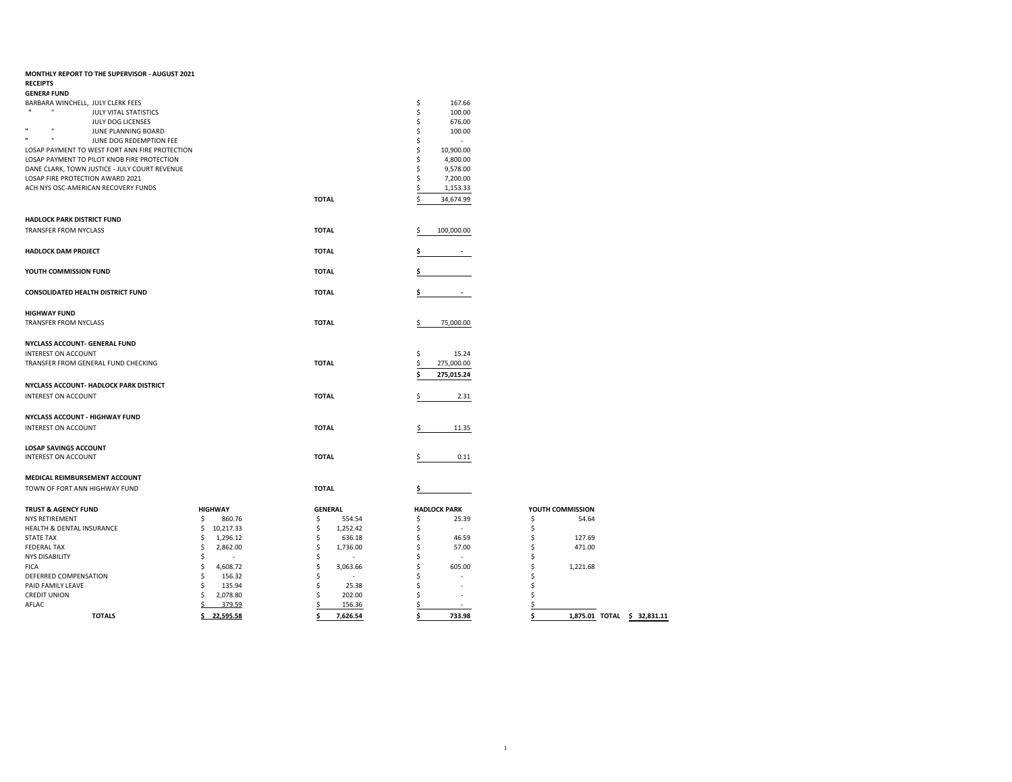| MONTHLY REPORT TO THE SUPERVISOR - AUGUST 2021<br><b>RECEIPTS</b> |                                  |                                |                               |                                   |
|-------------------------------------------------------------------|----------------------------------|--------------------------------|-------------------------------|-----------------------------------|
| <b>GENERA FUND</b>                                                |                                  |                                |                               |                                   |
| BARBARA WINCHELL, JULY CLERK FEES                                 |                                  |                                | \$<br>167.66                  |                                   |
| JULY VITAL STATISTICS                                             |                                  |                                | \$<br>100.00                  |                                   |
| JULY DOG LICENSES                                                 |                                  |                                | \$<br>676.00                  |                                   |
| JUNE PLANNING BOARD                                               |                                  |                                | Ś<br>100.00                   |                                   |
| $\mathbf{u}$<br>JUNE DOG REDEMPTION FEE                           |                                  |                                | \$                            |                                   |
|                                                                   |                                  |                                |                               |                                   |
| LOSAP PAYMENT TO WEST FORT ANN FIRE PROTECTION                    |                                  |                                | \$<br>10,900.00               |                                   |
| LOSAP PAYMENT TO PILOT KNOB FIRE PROTECTION                       |                                  |                                | Ś<br>4,800.00                 |                                   |
| DANE CLARK, TOWN JUSTICE - JULY COURT REVENUE                     |                                  |                                | Ś<br>9,578.00                 |                                   |
| LOSAP FIRE PROTECTION AWARD 2021                                  |                                  |                                | 7,200.00<br>Ŝ                 |                                   |
| ACH NYS OSC-AMERICAN RECOVERY FUNDS                               |                                  |                                | 1,153.33<br>Ś                 |                                   |
|                                                                   |                                  | <b>TOTAL</b>                   | Ś<br>34,674.99                |                                   |
| <b>HADLOCK PARK DISTRICT FUND</b>                                 |                                  |                                |                               |                                   |
| <b>TRANSFER FROM NYCLASS</b>                                      |                                  | <b>TOTAL</b>                   | 100,000.00                    |                                   |
|                                                                   |                                  |                                |                               |                                   |
| <b>HADLOCK DAM PROJECT</b>                                        |                                  | <b>TOTAL</b>                   |                               |                                   |
|                                                                   |                                  |                                |                               |                                   |
| YOUTH COMMISSION FUND                                             |                                  | <b>TOTAL</b>                   | Ś                             |                                   |
|                                                                   |                                  |                                |                               |                                   |
| CONSOLIDATED HEALTH DISTRICT FUND                                 |                                  | <b>TOTAL</b>                   |                               |                                   |
|                                                                   |                                  |                                |                               |                                   |
| <b>HIGHWAY FUND</b>                                               |                                  |                                |                               |                                   |
| TRANSFER FROM NYCLASS                                             |                                  | <b>TOTAL</b>                   | \$<br>75,000.00               |                                   |
|                                                                   |                                  |                                |                               |                                   |
| NYCLASS ACCOUNT- GENERAL FUND                                     |                                  |                                |                               |                                   |
| <b>INTEREST ON ACCOUNT</b>                                        |                                  |                                | \$<br>15.24                   |                                   |
| TRANSFER FROM GENERAL FUND CHECKING                               |                                  | <b>TOTAL</b>                   | 275,000.00<br>\$              |                                   |
|                                                                   |                                  |                                |                               |                                   |
|                                                                   |                                  |                                | Ś<br>275,015.24               |                                   |
| NYCLASS ACCOUNT- HADLOCK PARK DISTRICT                            |                                  |                                |                               |                                   |
| <b>INTEREST ON ACCOUNT</b>                                        |                                  | <b>TOTAL</b>                   | 2.31<br>\$                    |                                   |
|                                                                   |                                  |                                |                               |                                   |
| NYCLASS ACCOUNT - HIGHWAY FUND                                    |                                  |                                |                               |                                   |
| <b>INTEREST ON ACCOUNT</b>                                        |                                  | <b>TOTAL</b>                   | 11.35<br>\$                   |                                   |
|                                                                   |                                  |                                |                               |                                   |
| <b>LOSAP SAVINGS ACCOUNT</b>                                      |                                  |                                |                               |                                   |
| <b>INTEREST ON ACCOUNT</b>                                        |                                  | <b>TOTAL</b>                   | 0.11<br>\$                    |                                   |
|                                                                   |                                  |                                |                               |                                   |
| MEDICAL REIMBURSEMENT ACCOUNT                                     |                                  |                                |                               |                                   |
| TOWN OF FORT ANN HIGHWAY FUND                                     |                                  | <b>TOTAL</b>                   | \$                            |                                   |
|                                                                   |                                  |                                |                               |                                   |
| <b>TRUST &amp; AGENCY FUND</b>                                    | <b>HIGHWAY</b>                   | <b>GENERAL</b>                 | <b>HADLOCK PARK</b>           | YOUTH COMMISSION                  |
| <b>NYS RETIREMENT</b>                                             | \$<br>860.76                     | \$<br>554.54                   | \$<br>25.39                   | \$<br>54.64                       |
| HEALTH & DENTAL INSURANCE                                         | 10,217.33<br>\$                  | \$<br>1,252.42                 | \$<br>$\sim$                  | \$                                |
|                                                                   |                                  |                                |                               |                                   |
| <b>STATE TAX</b><br><b>FEDERAL TAX</b>                            | 1,296.12<br>\$<br>\$<br>2,862.00 | \$<br>636.18<br>\$<br>1,736.00 | \$<br>46.59<br>57.00          | \$<br>127.69<br>Ś<br>471.00       |
|                                                                   |                                  |                                | \$                            |                                   |
| <b>NYS DISABILITY</b>                                             | \$                               | \$<br>٠                        | Ś<br>÷,                       | Ś                                 |
| <b>FICA</b>                                                       | 4,608.72<br>\$                   | \$<br>3,063.66                 | \$<br>605.00                  | 1,221.68<br>Ś                     |
| DEFERRED COMPENSATION                                             | \$<br>156.32                     | \$                             | \$                            | Ś                                 |
| PAID FAMILY LEAVE                                                 | 135.94<br>\$                     | \$<br>25.38                    | Ŝ.                            | Ś                                 |
| <b>CREDIT UNION</b>                                               | Ś<br>2,078.80                    | Ś<br>202.00                    | Ś                             |                                   |
| AFLAC                                                             | 379.59                           | 156.36                         | Ś<br>$\overline{\phantom{a}}$ | Ś                                 |
| <b>TOTALS</b>                                                     | \$<br>22,595.58                  | 7,626.54<br>\$                 | \$<br>733.98                  | \$<br>1,875.01 TOTAL \$ 32,831.11 |

|    | YOUTH COMMISSION |           |
|----|------------------|-----------|
| \$ | 54.64            |           |
| \$ |                  |           |
| \$ | 127.69           |           |
| \$ | 471.00           |           |
| \$ |                  |           |
| \$ | 1.221.68         |           |
| \$ |                  |           |
| \$ |                  |           |
| \$ |                  |           |
| \$ |                  |           |
| ሩ  | 1,875.01 TOTAL   | \$<br>32. |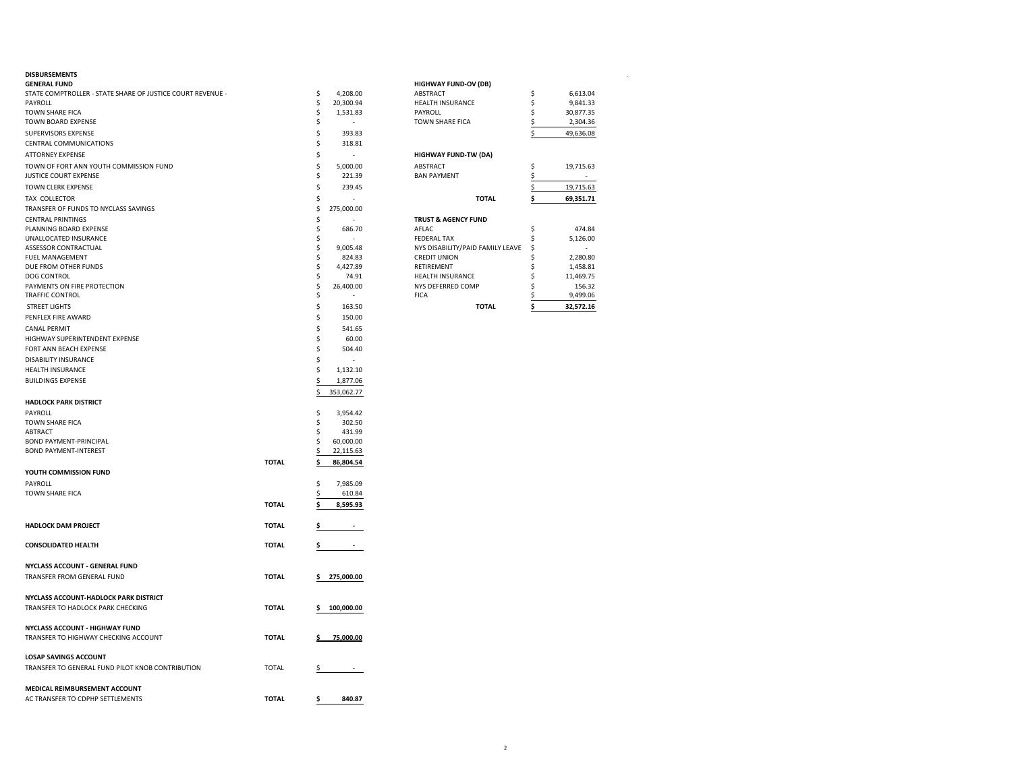#### **DISBURSEMENTS** .

|              |                                                                                              |                                                                                                                                                                                 | <b>HIGHWAY FUND-OV (DB)</b>                                                                                                                                                                                                                                                                                                |                                                                                                                                                                                                                                                                                                 |                                                                       |
|--------------|----------------------------------------------------------------------------------------------|---------------------------------------------------------------------------------------------------------------------------------------------------------------------------------|----------------------------------------------------------------------------------------------------------------------------------------------------------------------------------------------------------------------------------------------------------------------------------------------------------------------------|-------------------------------------------------------------------------------------------------------------------------------------------------------------------------------------------------------------------------------------------------------------------------------------------------|-----------------------------------------------------------------------|
|              | \$                                                                                           | 4,208.00                                                                                                                                                                        | ABSTRACT                                                                                                                                                                                                                                                                                                                   | \$                                                                                                                                                                                                                                                                                              | 6,613.04                                                              |
|              | \$                                                                                           | 20,300.94                                                                                                                                                                       | HEALTH INSURANCE                                                                                                                                                                                                                                                                                                           | \$                                                                                                                                                                                                                                                                                              | 9,841.33                                                              |
|              | \$                                                                                           | 1,531.83                                                                                                                                                                        | PAYROLL                                                                                                                                                                                                                                                                                                                    | Ś                                                                                                                                                                                                                                                                                               | 30,877.35                                                             |
|              | \$                                                                                           |                                                                                                                                                                                 | TOWN SHARE FICA                                                                                                                                                                                                                                                                                                            | \$                                                                                                                                                                                                                                                                                              | 2,304.36                                                              |
|              | \$                                                                                           | 393.83                                                                                                                                                                          |                                                                                                                                                                                                                                                                                                                            | \$                                                                                                                                                                                                                                                                                              | 49,636.08                                                             |
|              | \$                                                                                           | 318.81                                                                                                                                                                          |                                                                                                                                                                                                                                                                                                                            |                                                                                                                                                                                                                                                                                                 |                                                                       |
|              |                                                                                              | ٠                                                                                                                                                                               |                                                                                                                                                                                                                                                                                                                            |                                                                                                                                                                                                                                                                                                 |                                                                       |
|              |                                                                                              |                                                                                                                                                                                 |                                                                                                                                                                                                                                                                                                                            |                                                                                                                                                                                                                                                                                                 | 19,715.63                                                             |
|              |                                                                                              |                                                                                                                                                                                 |                                                                                                                                                                                                                                                                                                                            |                                                                                                                                                                                                                                                                                                 |                                                                       |
|              |                                                                                              |                                                                                                                                                                                 |                                                                                                                                                                                                                                                                                                                            |                                                                                                                                                                                                                                                                                                 | 19,715.63                                                             |
|              |                                                                                              |                                                                                                                                                                                 |                                                                                                                                                                                                                                                                                                                            |                                                                                                                                                                                                                                                                                                 |                                                                       |
|              |                                                                                              |                                                                                                                                                                                 |                                                                                                                                                                                                                                                                                                                            |                                                                                                                                                                                                                                                                                                 | 69,351.71                                                             |
|              |                                                                                              |                                                                                                                                                                                 |                                                                                                                                                                                                                                                                                                                            |                                                                                                                                                                                                                                                                                                 |                                                                       |
|              |                                                                                              |                                                                                                                                                                                 |                                                                                                                                                                                                                                                                                                                            |                                                                                                                                                                                                                                                                                                 |                                                                       |
|              |                                                                                              |                                                                                                                                                                                 |                                                                                                                                                                                                                                                                                                                            |                                                                                                                                                                                                                                                                                                 | 474.84                                                                |
|              |                                                                                              |                                                                                                                                                                                 |                                                                                                                                                                                                                                                                                                                            |                                                                                                                                                                                                                                                                                                 | 5,126.00                                                              |
|              |                                                                                              |                                                                                                                                                                                 |                                                                                                                                                                                                                                                                                                                            |                                                                                                                                                                                                                                                                                                 |                                                                       |
|              |                                                                                              |                                                                                                                                                                                 |                                                                                                                                                                                                                                                                                                                            |                                                                                                                                                                                                                                                                                                 | 2,280.80                                                              |
|              |                                                                                              |                                                                                                                                                                                 |                                                                                                                                                                                                                                                                                                                            |                                                                                                                                                                                                                                                                                                 | 1,458.81                                                              |
|              |                                                                                              |                                                                                                                                                                                 |                                                                                                                                                                                                                                                                                                                            |                                                                                                                                                                                                                                                                                                 | 11,469.75                                                             |
|              |                                                                                              |                                                                                                                                                                                 |                                                                                                                                                                                                                                                                                                                            |                                                                                                                                                                                                                                                                                                 | 156.32                                                                |
|              |                                                                                              |                                                                                                                                                                                 |                                                                                                                                                                                                                                                                                                                            |                                                                                                                                                                                                                                                                                                 | 9,499.06                                                              |
|              |                                                                                              |                                                                                                                                                                                 |                                                                                                                                                                                                                                                                                                                            |                                                                                                                                                                                                                                                                                                 | 32,572.16                                                             |
|              |                                                                                              | 150.00                                                                                                                                                                          |                                                                                                                                                                                                                                                                                                                            |                                                                                                                                                                                                                                                                                                 |                                                                       |
|              | \$                                                                                           | 541.65                                                                                                                                                                          |                                                                                                                                                                                                                                                                                                                            |                                                                                                                                                                                                                                                                                                 |                                                                       |
|              | \$                                                                                           | 60.00                                                                                                                                                                           |                                                                                                                                                                                                                                                                                                                            |                                                                                                                                                                                                                                                                                                 |                                                                       |
|              | \$                                                                                           | 504.40                                                                                                                                                                          |                                                                                                                                                                                                                                                                                                                            |                                                                                                                                                                                                                                                                                                 |                                                                       |
|              | \$                                                                                           |                                                                                                                                                                                 |                                                                                                                                                                                                                                                                                                                            |                                                                                                                                                                                                                                                                                                 |                                                                       |
|              |                                                                                              |                                                                                                                                                                                 |                                                                                                                                                                                                                                                                                                                            |                                                                                                                                                                                                                                                                                                 |                                                                       |
|              |                                                                                              |                                                                                                                                                                                 |                                                                                                                                                                                                                                                                                                                            |                                                                                                                                                                                                                                                                                                 |                                                                       |
|              |                                                                                              |                                                                                                                                                                                 |                                                                                                                                                                                                                                                                                                                            |                                                                                                                                                                                                                                                                                                 |                                                                       |
|              |                                                                                              |                                                                                                                                                                                 |                                                                                                                                                                                                                                                                                                                            |                                                                                                                                                                                                                                                                                                 |                                                                       |
|              |                                                                                              |                                                                                                                                                                                 |                                                                                                                                                                                                                                                                                                                            |                                                                                                                                                                                                                                                                                                 |                                                                       |
|              |                                                                                              |                                                                                                                                                                                 |                                                                                                                                                                                                                                                                                                                            |                                                                                                                                                                                                                                                                                                 |                                                                       |
|              |                                                                                              |                                                                                                                                                                                 |                                                                                                                                                                                                                                                                                                                            |                                                                                                                                                                                                                                                                                                 |                                                                       |
|              |                                                                                              |                                                                                                                                                                                 |                                                                                                                                                                                                                                                                                                                            |                                                                                                                                                                                                                                                                                                 |                                                                       |
|              |                                                                                              |                                                                                                                                                                                 |                                                                                                                                                                                                                                                                                                                            |                                                                                                                                                                                                                                                                                                 |                                                                       |
|              |                                                                                              |                                                                                                                                                                                 |                                                                                                                                                                                                                                                                                                                            |                                                                                                                                                                                                                                                                                                 |                                                                       |
|              |                                                                                              |                                                                                                                                                                                 |                                                                                                                                                                                                                                                                                                                            |                                                                                                                                                                                                                                                                                                 |                                                                       |
|              |                                                                                              |                                                                                                                                                                                 |                                                                                                                                                                                                                                                                                                                            |                                                                                                                                                                                                                                                                                                 |                                                                       |
|              |                                                                                              |                                                                                                                                                                                 |                                                                                                                                                                                                                                                                                                                            |                                                                                                                                                                                                                                                                                                 |                                                                       |
|              |                                                                                              |                                                                                                                                                                                 |                                                                                                                                                                                                                                                                                                                            |                                                                                                                                                                                                                                                                                                 |                                                                       |
| <b>TOTAL</b> | Ś                                                                                            | 8,595.93                                                                                                                                                                        |                                                                                                                                                                                                                                                                                                                            |                                                                                                                                                                                                                                                                                                 |                                                                       |
|              |                                                                                              |                                                                                                                                                                                 |                                                                                                                                                                                                                                                                                                                            |                                                                                                                                                                                                                                                                                                 |                                                                       |
| <b>TOTAL</b> | \$                                                                                           | $\sim 10^{11}$ km s $^{-1}$                                                                                                                                                     |                                                                                                                                                                                                                                                                                                                            |                                                                                                                                                                                                                                                                                                 |                                                                       |
|              |                                                                                              |                                                                                                                                                                                 |                                                                                                                                                                                                                                                                                                                            |                                                                                                                                                                                                                                                                                                 |                                                                       |
| <b>TOTAL</b> | \$.                                                                                          | <b>Contract</b>                                                                                                                                                                 |                                                                                                                                                                                                                                                                                                                            |                                                                                                                                                                                                                                                                                                 |                                                                       |
|              |                                                                                              |                                                                                                                                                                                 |                                                                                                                                                                                                                                                                                                                            |                                                                                                                                                                                                                                                                                                 |                                                                       |
|              |                                                                                              |                                                                                                                                                                                 |                                                                                                                                                                                                                                                                                                                            |                                                                                                                                                                                                                                                                                                 |                                                                       |
|              |                                                                                              |                                                                                                                                                                                 |                                                                                                                                                                                                                                                                                                                            |                                                                                                                                                                                                                                                                                                 |                                                                       |
|              |                                                                                              |                                                                                                                                                                                 |                                                                                                                                                                                                                                                                                                                            |                                                                                                                                                                                                                                                                                                 |                                                                       |
|              |                                                                                              |                                                                                                                                                                                 |                                                                                                                                                                                                                                                                                                                            |                                                                                                                                                                                                                                                                                                 |                                                                       |
|              |                                                                                              |                                                                                                                                                                                 |                                                                                                                                                                                                                                                                                                                            |                                                                                                                                                                                                                                                                                                 |                                                                       |
|              |                                                                                              |                                                                                                                                                                                 |                                                                                                                                                                                                                                                                                                                            |                                                                                                                                                                                                                                                                                                 |                                                                       |
|              |                                                                                              |                                                                                                                                                                                 |                                                                                                                                                                                                                                                                                                                            |                                                                                                                                                                                                                                                                                                 |                                                                       |
|              |                                                                                              |                                                                                                                                                                                 |                                                                                                                                                                                                                                                                                                                            |                                                                                                                                                                                                                                                                                                 |                                                                       |
|              |                                                                                              |                                                                                                                                                                                 |                                                                                                                                                                                                                                                                                                                            |                                                                                                                                                                                                                                                                                                 |                                                                       |
|              |                                                                                              |                                                                                                                                                                                 |                                                                                                                                                                                                                                                                                                                            |                                                                                                                                                                                                                                                                                                 |                                                                       |
|              |                                                                                              |                                                                                                                                                                                 |                                                                                                                                                                                                                                                                                                                            |                                                                                                                                                                                                                                                                                                 |                                                                       |
|              |                                                                                              |                                                                                                                                                                                 |                                                                                                                                                                                                                                                                                                                            |                                                                                                                                                                                                                                                                                                 |                                                                       |
|              |                                                                                              |                                                                                                                                                                                 |                                                                                                                                                                                                                                                                                                                            |                                                                                                                                                                                                                                                                                                 |                                                                       |
|              |                                                                                              |                                                                                                                                                                                 |                                                                                                                                                                                                                                                                                                                            |                                                                                                                                                                                                                                                                                                 |                                                                       |
|              |                                                                                              |                                                                                                                                                                                 |                                                                                                                                                                                                                                                                                                                            |                                                                                                                                                                                                                                                                                                 |                                                                       |
|              | <b>TOTAL</b><br><b>TOTAL</b><br><b>TOTAL</b><br><b>TOTAL</b><br><b>TOTAL</b><br><b>TOTAL</b> | \$<br>\$<br>\$<br>\$<br>\$<br>\$<br>\$<br>\$<br>\$<br>\$<br>\$<br>\$<br>\$<br>\$<br>\$<br>\$<br>\$<br>\$<br>\$<br>\$<br>\$<br>\$<br>\$<br>\$<br>\$<br>\$<br>\$<br>\$<br>s<br>\$ | 5,000.00<br>221.39<br>239.45<br>275,000.00<br>686.70<br>9,005.48<br>824.83<br>4,427.89<br>74.91<br>26,400.00<br>163.50<br>1,132.10<br>1,877.06<br>353,062.77<br>3,954.42<br>302.50<br>431.99<br>60,000.00<br>22,115.63<br>86,804.54<br>7,985.09<br>610.84<br>275,000.00<br>100,000.00<br>75,000.00<br>$\sim 100$<br>840.87 | <b>HIGHWAY FUND-TW (DA)</b><br>ABSTRACT<br><b>BAN PAYMENT</b><br><b>TOTAL</b><br><b>TRUST &amp; AGENCY FUND</b><br>AFLAC<br><b>FEDERAL TAX</b><br>NYS DISABILITY/PAID FAMILY LEAVE<br><b>CREDIT UNION</b><br>RETIREMENT<br>HEALTH INSURANCE<br>NYS DEFERRED COMP<br><b>FICA</b><br><b>TOTAL</b> | Ŝ<br>S<br>\$<br>\$<br>\$<br>\$<br>\$<br>S<br>\$<br>Ŝ<br>ς<br>\$<br>\$ |

| <b>TOTAL</b>                     | \$<br>32.572.16 |
|----------------------------------|-----------------|
| <b>FICA</b>                      | \$<br>9.499.06  |
| NYS DEFERRED COMP                | \$<br>156.32    |
| <b>HEALTH INSURANCE</b>          | \$<br>11,469.75 |
| <b>RETIREMENT</b>                | \$<br>1,458.81  |
| <b>CREDIT UNION</b>              | \$<br>2.280.80  |
| NYS DISABILITY/PAID FAMILY LEAVE | \$              |
| <b>FEDERAL TAX</b>               | \$<br>5,126.00  |
| AFLAC.                           | \$<br>474.84    |
| <b>TRUST &amp; AGENCY FUND</b>   |                 |
| <b>TOTAL</b>                     | \$<br>69,351.71 |
|                                  | \$<br>19,715.63 |
| <b>BAN PAYMENT</b>               | \$              |
| <b>ABSTRACT</b>                  | \$<br>19,715.63 |
| <b>HIGHWAY FUND-TW (DA)</b>      |                 |
|                                  | \$<br>49,636.08 |
| <b>TOWN SHARE FICA</b>           | \$<br>2,304.36  |
| PAYROLL                          | \$<br>30,877.35 |
| <b>HEALTH INSURANCE</b>          | \$<br>9,841.33  |
| <b>ABSTRACT</b>                  | \$<br>6,613.04  |
| <b>HIGHWAY FUND-OV (DB)</b>      |                 |